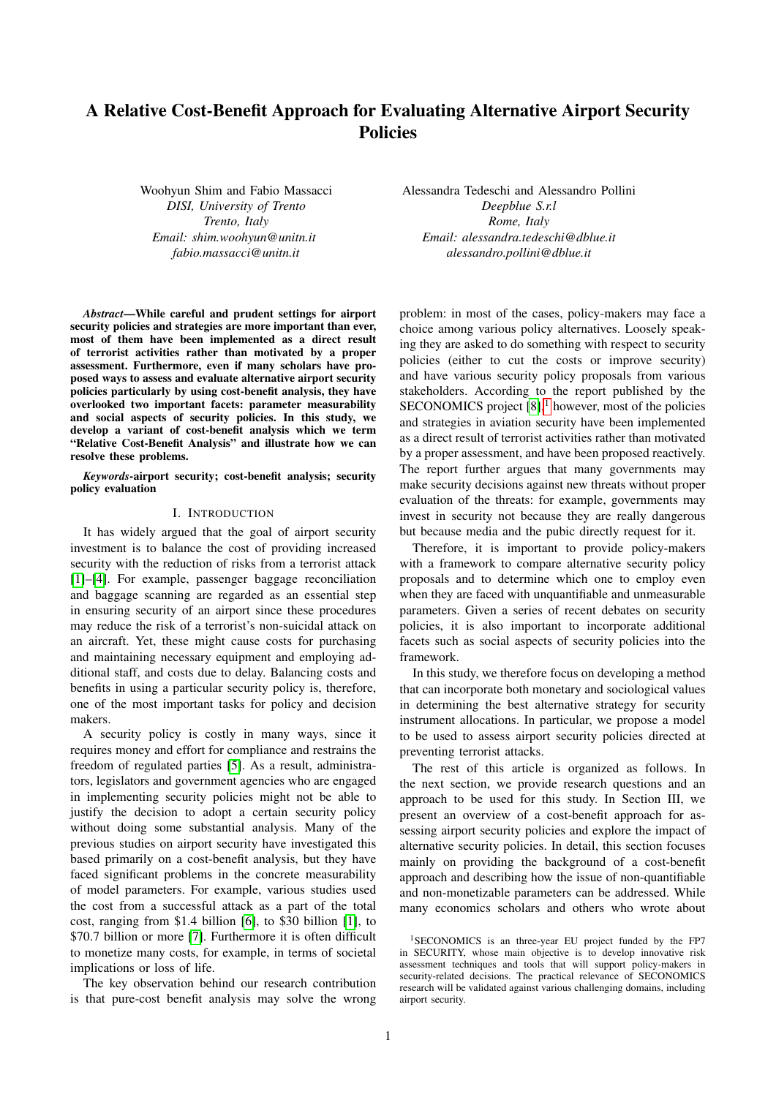# A Relative Cost-Benefit Approach for Evaluating Alternative Airport Security Policies

Woohyun Shim and Fabio Massacci *DISI, University of Trento Trento, Italy Email: shim.woohyun@unitn.it fabio.massacci@unitn.it*

*Abstract*—While careful and prudent settings for airport security policies and strategies are more important than ever, most of them have been implemented as a direct result of terrorist activities rather than motivated by a proper assessment. Furthermore, even if many scholars have proposed ways to assess and evaluate alternative airport security policies particularly by using cost-benefit analysis, they have overlooked two important facets: parameter measurability and social aspects of security policies. In this study, we develop a variant of cost-benefit analysis which we term "Relative Cost-Benefit Analysis" and illustrate how we can resolve these problems.

*Keywords*-airport security; cost-benefit analysis; security policy evaluation

## I. INTRODUCTION

It has widely argued that the goal of airport security investment is to balance the cost of providing increased security with the reduction of risks from a terrorist attack [\[1\]](#page-8-0)–[\[4\]](#page-8-1). For example, passenger baggage reconciliation and baggage scanning are regarded as an essential step in ensuring security of an airport since these procedures may reduce the risk of a terrorist's non-suicidal attack on an aircraft. Yet, these might cause costs for purchasing and maintaining necessary equipment and employing additional staff, and costs due to delay. Balancing costs and benefits in using a particular security policy is, therefore, one of the most important tasks for policy and decision makers.

A security policy is costly in many ways, since it requires money and effort for compliance and restrains the freedom of regulated parties [\[5\]](#page-8-2). As a result, administrators, legislators and government agencies who are engaged in implementing security policies might not be able to justify the decision to adopt a certain security policy without doing some substantial analysis. Many of the previous studies on airport security have investigated this based primarily on a cost-benefit analysis, but they have faced significant problems in the concrete measurability of model parameters. For example, various studies used the cost from a successful attack as a part of the total cost, ranging from \$1.4 billion [\[6\]](#page-8-3), to \$30 billion [\[1\]](#page-8-0), to \$70.7 billion or more [\[7\]](#page-8-4). Furthermore it is often difficult to monetize many costs, for example, in terms of societal implications or loss of life.

The key observation behind our research contribution is that pure-cost benefit analysis may solve the wrong Alessandra Tedeschi and Alessandro Pollini *Deepblue S.r.l Rome, Italy Email: alessandra.tedeschi@dblue.it alessandro.pollini@dblue.it*

problem: in most of the cases, policy-makers may face a choice among various policy alternatives. Loosely speaking they are asked to do something with respect to security policies (either to cut the costs or improve security) and have various security policy proposals from various stakeholders. According to the report published by the SECONOMICS project  $[8]$ ,<sup>[1](#page-0-0)</sup> however, most of the policies and strategies in aviation security have been implemented as a direct result of terrorist activities rather than motivated by a proper assessment, and have been proposed reactively. The report further argues that many governments may make security decisions against new threats without proper evaluation of the threats: for example, governments may invest in security not because they are really dangerous but because media and the pubic directly request for it.

Therefore, it is important to provide policy-makers with a framework to compare alternative security policy proposals and to determine which one to employ even when they are faced with unquantifiable and unmeasurable parameters. Given a series of recent debates on security policies, it is also important to incorporate additional facets such as social aspects of security policies into the framework.

In this study, we therefore focus on developing a method that can incorporate both monetary and sociological values in determining the best alternative strategy for security instrument allocations. In particular, we propose a model to be used to assess airport security policies directed at preventing terrorist attacks.

The rest of this article is organized as follows. In the next section, we provide research questions and an approach to be used for this study. In Section III, we present an overview of a cost-benefit approach for assessing airport security policies and explore the impact of alternative security policies. In detail, this section focuses mainly on providing the background of a cost-benefit approach and describing how the issue of non-quantifiable and non-monetizable parameters can be addressed. While many economics scholars and others who wrote about

<span id="page-0-0"></span><sup>&</sup>lt;sup>1</sup>SECONOMICS is an three-year EU project funded by the FP7 in SECURITY, whose main objective is to develop innovative risk assessment techniques and tools that will support policy-makers in security-related decisions. The practical relevance of SECONOMICS research will be validated against various challenging domains, including airport security.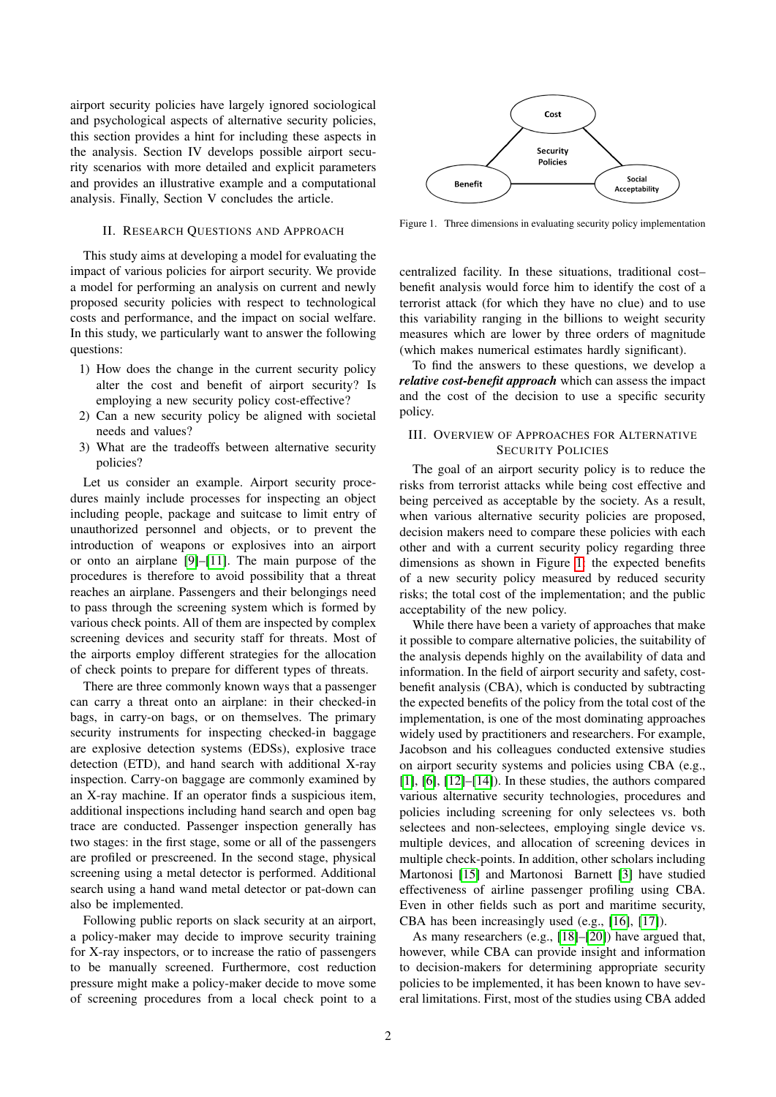airport security policies have largely ignored sociological and psychological aspects of alternative security policies, this section provides a hint for including these aspects in the analysis. Section IV develops possible airport security scenarios with more detailed and explicit parameters and provides an illustrative example and a computational analysis. Finally, Section V concludes the article.

#### II. RESEARCH QUESTIONS AND APPROACH

This study aims at developing a model for evaluating the impact of various policies for airport security. We provide a model for performing an analysis on current and newly proposed security policies with respect to technological costs and performance, and the impact on social welfare. In this study, we particularly want to answer the following questions:

- 1) How does the change in the current security policy alter the cost and benefit of airport security? Is employing a new security policy cost-effective?
- 2) Can a new security policy be aligned with societal needs and values?
- 3) What are the tradeoffs between alternative security policies?

Let us consider an example. Airport security procedures mainly include processes for inspecting an object including people, package and suitcase to limit entry of unauthorized personnel and objects, or to prevent the introduction of weapons or explosives into an airport or onto an airplane [\[9\]](#page-8-6)–[\[11\]](#page-8-7). The main purpose of the procedures is therefore to avoid possibility that a threat reaches an airplane. Passengers and their belongings need to pass through the screening system which is formed by various check points. All of them are inspected by complex screening devices and security staff for threats. Most of the airports employ different strategies for the allocation of check points to prepare for different types of threats.

There are three commonly known ways that a passenger can carry a threat onto an airplane: in their checked-in bags, in carry-on bags, or on themselves. The primary security instruments for inspecting checked-in baggage are explosive detection systems (EDSs), explosive trace detection (ETD), and hand search with additional X-ray inspection. Carry-on baggage are commonly examined by an X-ray machine. If an operator finds a suspicious item, additional inspections including hand search and open bag trace are conducted. Passenger inspection generally has two stages: in the first stage, some or all of the passengers are profiled or prescreened. In the second stage, physical screening using a metal detector is performed. Additional search using a hand wand metal detector or pat-down can also be implemented.

Following public reports on slack security at an airport, a policy-maker may decide to improve security training for X-ray inspectors, or to increase the ratio of passengers to be manually screened. Furthermore, cost reduction pressure might make a policy-maker decide to move some of screening procedures from a local check point to a



<span id="page-1-0"></span>Figure 1. Three dimensions in evaluating security policy implementation

centralized facility. In these situations, traditional cost– benefit analysis would force him to identify the cost of a terrorist attack (for which they have no clue) and to use this variability ranging in the billions to weight security measures which are lower by three orders of magnitude (which makes numerical estimates hardly significant).

To find the answers to these questions, we develop a *relative cost-benefit approach* which can assess the impact and the cost of the decision to use a specific security policy.

# III. OVERVIEW OF APPROACHES FOR ALTERNATIVE **SECURITY POLICIES**

The goal of an airport security policy is to reduce the risks from terrorist attacks while being cost effective and being perceived as acceptable by the society. As a result, when various alternative security policies are proposed, decision makers need to compare these policies with each other and with a current security policy regarding three dimensions as shown in Figure [1:](#page-1-0) the expected benefits of a new security policy measured by reduced security risks; the total cost of the implementation; and the public acceptability of the new policy.

While there have been a variety of approaches that make it possible to compare alternative policies, the suitability of the analysis depends highly on the availability of data and information. In the field of airport security and safety, costbenefit analysis (CBA), which is conducted by subtracting the expected benefits of the policy from the total cost of the implementation, is one of the most dominating approaches widely used by practitioners and researchers. For example, Jacobson and his colleagues conducted extensive studies on airport security systems and policies using CBA (e.g.,  $[1]$ ,  $[6]$ ,  $[12]$ – $[14]$ ). In these studies, the authors compared various alternative security technologies, procedures and policies including screening for only selectees vs. both selectees and non-selectees, employing single device vs. multiple devices, and allocation of screening devices in multiple check-points. In addition, other scholars including Martonosi [\[15\]](#page-8-10) and Martonosi Barnett [\[3\]](#page-8-11) have studied effectiveness of airline passenger profiling using CBA. Even in other fields such as port and maritime security, CBA has been increasingly used (e.g., [\[16\]](#page-8-12), [\[17\]](#page-8-13)).

As many researchers (e.g., [\[18\]](#page-8-14)–[\[20\]](#page-8-15)) have argued that, however, while CBA can provide insight and information to decision-makers for determining appropriate security policies to be implemented, it has been known to have several limitations. First, most of the studies using CBA added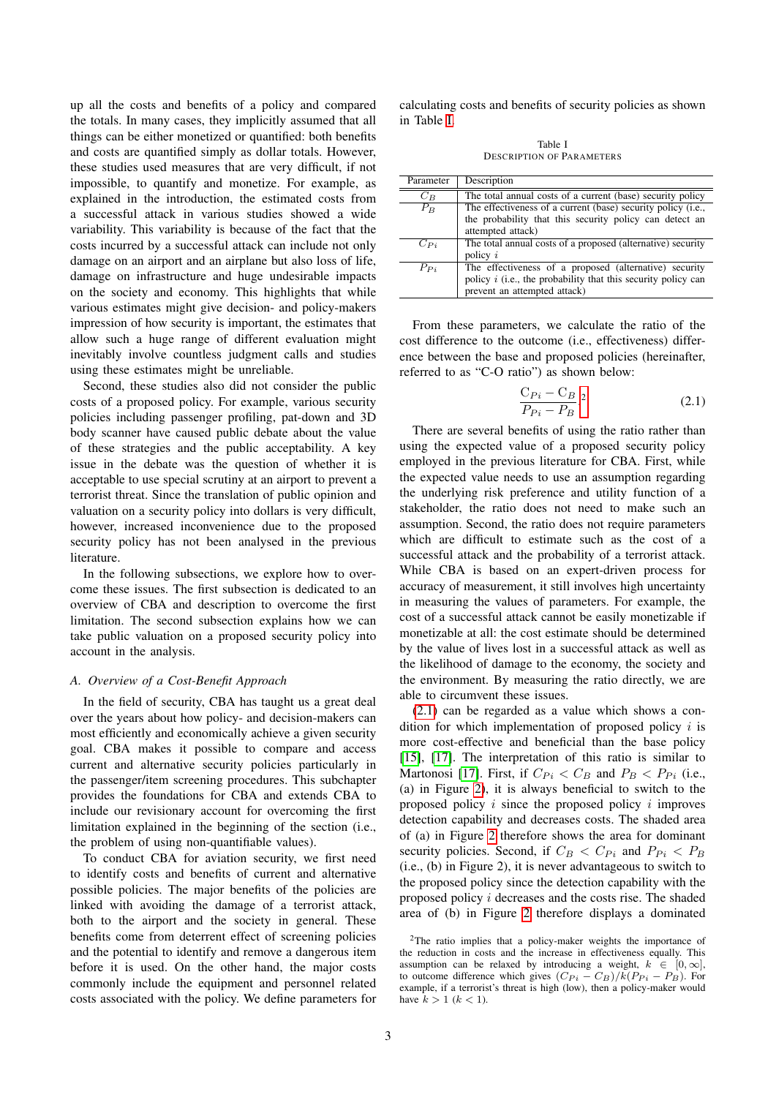up all the costs and benefits of a policy and compared the totals. In many cases, they implicitly assumed that all things can be either monetized or quantified: both benefits and costs are quantified simply as dollar totals. However, these studies used measures that are very difficult, if not impossible, to quantify and monetize. For example, as explained in the introduction, the estimated costs from a successful attack in various studies showed a wide variability. This variability is because of the fact that the costs incurred by a successful attack can include not only damage on an airport and an airplane but also loss of life, damage on infrastructure and huge undesirable impacts on the society and economy. This highlights that while various estimates might give decision- and policy-makers impression of how security is important, the estimates that allow such a huge range of different evaluation might inevitably involve countless judgment calls and studies using these estimates might be unreliable.

Second, these studies also did not consider the public costs of a proposed policy. For example, various security policies including passenger profiling, pat-down and 3D body scanner have caused public debate about the value of these strategies and the public acceptability. A key issue in the debate was the question of whether it is acceptable to use special scrutiny at an airport to prevent a terrorist threat. Since the translation of public opinion and valuation on a security policy into dollars is very difficult, however, increased inconvenience due to the proposed security policy has not been analysed in the previous literature.

In the following subsections, we explore how to overcome these issues. The first subsection is dedicated to an overview of CBA and description to overcome the first limitation. The second subsection explains how we can take public valuation on a proposed security policy into account in the analysis.

#### *A. Overview of a Cost-Benefit Approach*

In the field of security, CBA has taught us a great deal over the years about how policy- and decision-makers can most efficiently and economically achieve a given security goal. CBA makes it possible to compare and access current and alternative security policies particularly in the passenger/item screening procedures. This subchapter provides the foundations for CBA and extends CBA to include our revisionary account for overcoming the first limitation explained in the beginning of the section (i.e., the problem of using non-quantifiable values).

To conduct CBA for aviation security, we first need to identify costs and benefits of current and alternative possible policies. The major benefits of the policies are linked with avoiding the damage of a terrorist attack, both to the airport and the society in general. These benefits come from deterrent effect of screening policies and the potential to identify and remove a dangerous item before it is used. On the other hand, the major costs commonly include the equipment and personnel related costs associated with the policy. We define parameters for calculating costs and benefits of security policies as shown in Table [I.](#page-2-0)

Table I DESCRIPTION OF PARAMETERS

<span id="page-2-0"></span>

| Parameter | Description                                                          |  |  |  |  |  |  |
|-----------|----------------------------------------------------------------------|--|--|--|--|--|--|
|           |                                                                      |  |  |  |  |  |  |
| $C_R$     | The total annual costs of a current (base) security policy           |  |  |  |  |  |  |
| $P_B$     | The effectiveness of a current (base) security policy (i.e.,         |  |  |  |  |  |  |
|           | the probability that this security policy can detect an              |  |  |  |  |  |  |
|           | attempted attack)                                                    |  |  |  |  |  |  |
| $C_{Pi}$  | The total annual costs of a proposed (alternative) security          |  |  |  |  |  |  |
|           | policy $i$                                                           |  |  |  |  |  |  |
| $P_{Pi}$  | The effectiveness of a proposed (alternative) security               |  |  |  |  |  |  |
|           | policy <i>i</i> (i.e., the probability that this security policy can |  |  |  |  |  |  |
|           | prevent an attempted attack)                                         |  |  |  |  |  |  |

From these parameters, we calculate the ratio of the cost difference to the outcome (i.e., effectiveness) difference between the base and proposed policies (hereinafter, referred to as "C-O ratio") as shown below:

<span id="page-2-2"></span>
$$
\frac{C_{Pi} - C_B}{P_{Pi} - P_B}.
$$
\n(2.1)

There are several benefits of using the ratio rather than using the expected value of a proposed security policy employed in the previous literature for CBA. First, while the expected value needs to use an assumption regarding the underlying risk preference and utility function of a stakeholder, the ratio does not need to make such an assumption. Second, the ratio does not require parameters which are difficult to estimate such as the cost of a successful attack and the probability of a terrorist attack. While CBA is based on an expert-driven process for accuracy of measurement, it still involves high uncertainty in measuring the values of parameters. For example, the cost of a successful attack cannot be easily monetizable if monetizable at all: the cost estimate should be determined by the value of lives lost in a successful attack as well as the likelihood of damage to the economy, the society and the environment. By measuring the ratio directly, we are able to circumvent these issues.

[\(2.1\)](#page-2-2) can be regarded as a value which shows a condition for which implementation of proposed policy  $i$  is more cost-effective and beneficial than the base policy [\[15\]](#page-8-10), [\[17\]](#page-8-13). The interpretation of this ratio is similar to Martonosi [\[17\]](#page-8-13). First, if  $C_{Pi} < C_B$  and  $P_B < P_{Pi}$  (i.e., (a) in Figure [2\)](#page-3-0), it is always beneficial to switch to the proposed policy  $i$  since the proposed policy  $i$  improves detection capability and decreases costs. The shaded area of (a) in Figure [2](#page-3-0) therefore shows the area for dominant security policies. Second, if  $C_B < C_{P_i}$  and  $P_{P_i} < P_B$ (i.e., (b) in Figure 2), it is never advantageous to switch to the proposed policy since the detection capability with the proposed policy i decreases and the costs rise. The shaded area of (b) in Figure [2](#page-3-0) therefore displays a dominated

<span id="page-2-1"></span><sup>2</sup>The ratio implies that a policy-maker weights the importance of the reduction in costs and the increase in effectiveness equally. This assumption can be relaxed by introducing a weight,  $k \in [0, \infty]$ , to outcome difference which gives  $(C_{P_i} - C_B)/\tilde{k}(P_{P_i} - P_B)$ . For example, if a terrorist's threat is high (low), then a policy-maker would have  $k > 1$  ( $k < 1$ ).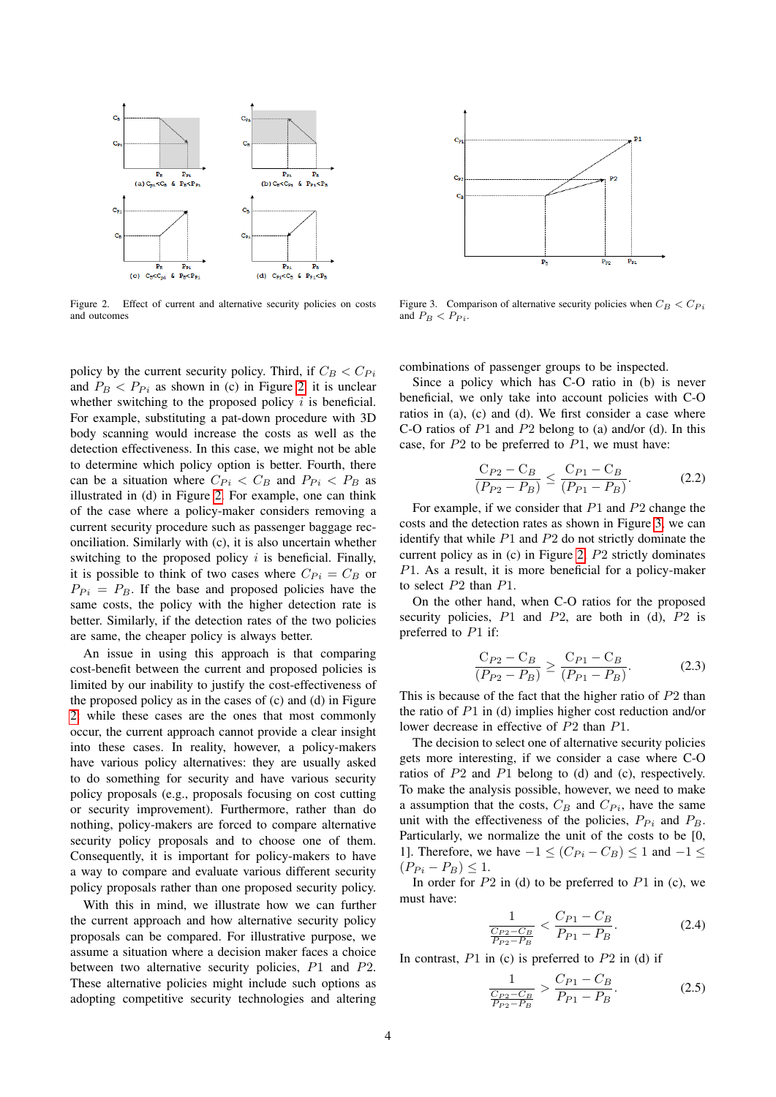

<span id="page-3-0"></span>Figure 2. Effect of current and alternative security policies on costs and outcomes

policy by the current security policy. Third, if  $C_B < C_{P_i}$ and  $P_B < P_{P_i}$  as shown in (c) in Figure [2,](#page-3-0) it is unclear whether switching to the proposed policy  $i$  is beneficial. For example, substituting a pat-down procedure with 3D body scanning would increase the costs as well as the detection effectiveness. In this case, we might not be able to determine which policy option is better. Fourth, there can be a situation where  $C_{Pi} < C_B$  and  $P_{Pi} < P_B$  as illustrated in (d) in Figure [2.](#page-3-0) For example, one can think of the case where a policy-maker considers removing a current security procedure such as passenger baggage reconciliation. Similarly with (c), it is also uncertain whether switching to the proposed policy  $i$  is beneficial. Finally, it is possible to think of two cases where  $C_{Pi} = C_B$  or  $P_{Pi} = P_B$ . If the base and proposed policies have the same costs, the policy with the higher detection rate is better. Similarly, if the detection rates of the two policies are same, the cheaper policy is always better.

An issue in using this approach is that comparing cost-benefit between the current and proposed policies is limited by our inability to justify the cost-effectiveness of the proposed policy as in the cases of (c) and (d) in Figure [2:](#page-3-0) while these cases are the ones that most commonly occur, the current approach cannot provide a clear insight into these cases. In reality, however, a policy-makers have various policy alternatives: they are usually asked to do something for security and have various security policy proposals (e.g., proposals focusing on cost cutting or security improvement). Furthermore, rather than do nothing, policy-makers are forced to compare alternative security policy proposals and to choose one of them. Consequently, it is important for policy-makers to have a way to compare and evaluate various different security policy proposals rather than one proposed security policy.

With this in mind, we illustrate how we can further the current approach and how alternative security policy proposals can be compared. For illustrative purpose, we assume a situation where a decision maker faces a choice between two alternative security policies, P1 and P2. These alternative policies might include such options as adopting competitive security technologies and altering



<span id="page-3-1"></span>Figure 3. Comparison of alternative security policies when  $C_B < C_{P_i}$ and  $P_B < P_{P_i}$ .

combinations of passenger groups to be inspected.

Since a policy which has C-O ratio in (b) is never beneficial, we only take into account policies with C-O ratios in (a), (c) and (d). We first consider a case where C-O ratios of  $P1$  and  $P2$  belong to (a) and/or (d). In this case, for  $P2$  to be preferred to  $P1$ , we must have:

$$
\frac{C_{P2} - C_B}{(P_{P2} - P_B)} \le \frac{C_{P1} - C_B}{(P_{P1} - P_B)}.
$$
\n(2.2)

For example, if we consider that  $P1$  and  $P2$  change the costs and the detection rates as shown in Figure [3,](#page-3-1) we can identify that while P1 and P2 do not strictly dominate the current policy as in (c) in Figure [2,](#page-3-0) P2 strictly dominates P1. As a result, it is more beneficial for a policy-maker to select P2 than P1.

On the other hand, when C-O ratios for the proposed security policies,  $P1$  and  $P2$ , are both in (d),  $P2$  is preferred to P1 if:

$$
\frac{C_{P2} - C_B}{(P_{P2} - P_B)} \ge \frac{C_{P1} - C_B}{(P_{P1} - P_B)}.
$$
\n(2.3)

This is because of the fact that the higher ratio of  $P2$  than the ratio of P1 in (d) implies higher cost reduction and/or lower decrease in effective of P2 than P1.

The decision to select one of alternative security policies gets more interesting, if we consider a case where C-O ratios of P2 and P1 belong to (d) and (c), respectively. To make the analysis possible, however, we need to make a assumption that the costs,  $C_B$  and  $C_{P_i}$ , have the same unit with the effectiveness of the policies,  $P_{P_i}$  and  $P_B$ . Particularly, we normalize the unit of the costs to be [0, 1]. Therefore, we have  $-1 \leq (C_{Pi} - C_B) \leq 1$  and  $-1 \leq$  $(P_{Pi} - P_B) \leq 1.$ 

In order for  $P2$  in (d) to be preferred to  $P1$  in (c), we must have:

$$
\frac{1}{\frac{C_{P2} - C_B}{P_{P2} - P_B}} < \frac{C_{P1} - C_B}{P_{P1} - P_B}.\tag{2.4}
$$

In contrast,  $P1$  in (c) is preferred to  $P2$  in (d) if

$$
\frac{1}{\frac{C_{P2} - C_B}{P_{P2} - P_B}} > \frac{C_{P1} - C_B}{P_{P1} - P_B}.
$$
\n(2.5)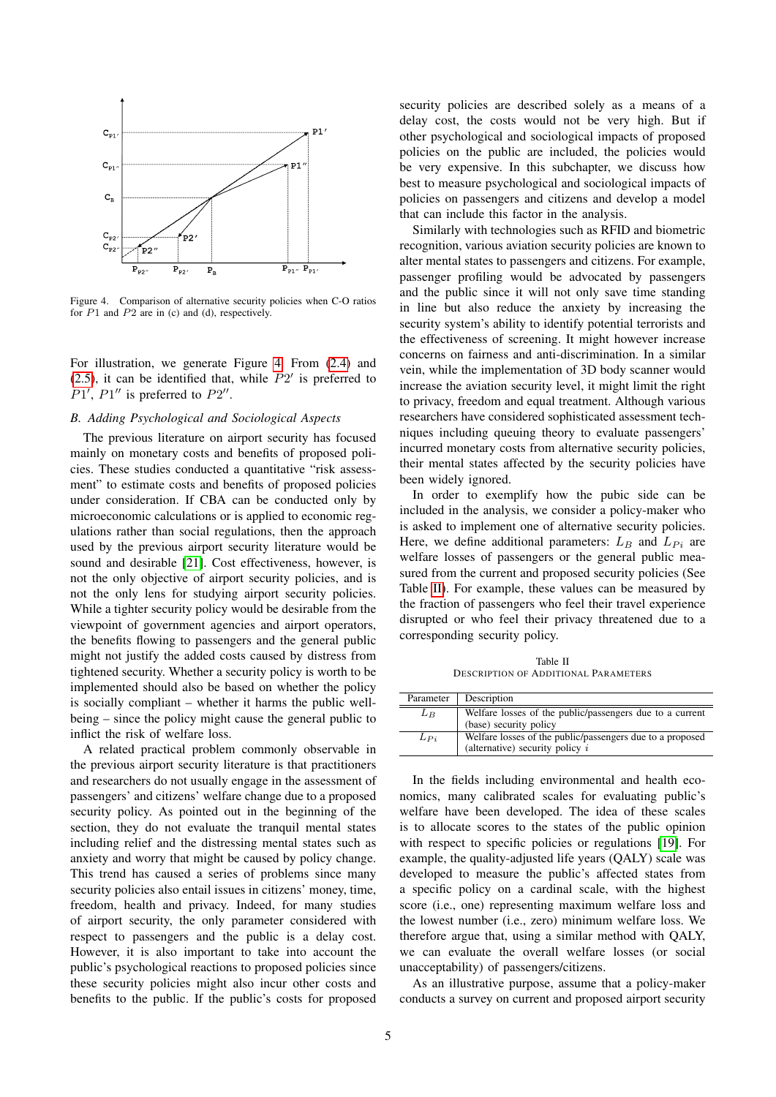

<span id="page-4-0"></span>Figure 4. Comparison of alternative security policies when C-O ratios for P1 and P2 are in (c) and (d), respectively.

For illustration, we generate Figure [4.](#page-4-0) From [\(2.4\)](#page-2-2) and  $(2.5)$ , it can be identified that, while  $P2'$  is preferred to  $P1', P1''$  is preferred to  $P2''$ .

## *B. Adding Psychological and Sociological Aspects*

The previous literature on airport security has focused mainly on monetary costs and benefits of proposed policies. These studies conducted a quantitative "risk assessment" to estimate costs and benefits of proposed policies under consideration. If CBA can be conducted only by microeconomic calculations or is applied to economic regulations rather than social regulations, then the approach used by the previous airport security literature would be sound and desirable [\[21\]](#page-8-16). Cost effectiveness, however, is not the only objective of airport security policies, and is not the only lens for studying airport security policies. While a tighter security policy would be desirable from the viewpoint of government agencies and airport operators, the benefits flowing to passengers and the general public might not justify the added costs caused by distress from tightened security. Whether a security policy is worth to be implemented should also be based on whether the policy is socially compliant – whether it harms the public wellbeing – since the policy might cause the general public to inflict the risk of welfare loss.

A related practical problem commonly observable in the previous airport security literature is that practitioners and researchers do not usually engage in the assessment of passengers' and citizens' welfare change due to a proposed security policy. As pointed out in the beginning of the section, they do not evaluate the tranquil mental states including relief and the distressing mental states such as anxiety and worry that might be caused by policy change. This trend has caused a series of problems since many security policies also entail issues in citizens' money, time, freedom, health and privacy. Indeed, for many studies of airport security, the only parameter considered with respect to passengers and the public is a delay cost. However, it is also important to take into account the public's psychological reactions to proposed policies since these security policies might also incur other costs and benefits to the public. If the public's costs for proposed

security policies are described solely as a means of a delay cost, the costs would not be very high. But if other psychological and sociological impacts of proposed policies on the public are included, the policies would be very expensive. In this subchapter, we discuss how best to measure psychological and sociological impacts of policies on passengers and citizens and develop a model that can include this factor in the analysis.

Similarly with technologies such as RFID and biometric recognition, various aviation security policies are known to alter mental states to passengers and citizens. For example, passenger profiling would be advocated by passengers and the public since it will not only save time standing in line but also reduce the anxiety by increasing the security system's ability to identify potential terrorists and the effectiveness of screening. It might however increase concerns on fairness and anti-discrimination. In a similar vein, while the implementation of 3D body scanner would increase the aviation security level, it might limit the right to privacy, freedom and equal treatment. Although various researchers have considered sophisticated assessment techniques including queuing theory to evaluate passengers' incurred monetary costs from alternative security policies, their mental states affected by the security policies have been widely ignored.

In order to exemplify how the pubic side can be included in the analysis, we consider a policy-maker who is asked to implement one of alternative security policies. Here, we define additional parameters:  $L_B$  and  $L_{P_i}$  are welfare losses of passengers or the general public measured from the current and proposed security policies (See Table [II\)](#page-4-1). For example, these values can be measured by the fraction of passengers who feel their travel experience disrupted or who feel their privacy threatened due to a corresponding security policy.

Table II DESCRIPTION OF ADDITIONAL PARAMETERS

<span id="page-4-1"></span>

| Parameter | Description                                               |
|-----------|-----------------------------------------------------------|
| $L_B$     | Welfare losses of the public/passengers due to a current  |
|           | (base) security policy                                    |
| $L_{P_i}$ | Welfare losses of the public/passengers due to a proposed |
|           | (alternative) security policy $i$                         |

In the fields including environmental and health economics, many calibrated scales for evaluating public's welfare have been developed. The idea of these scales is to allocate scores to the states of the public opinion with respect to specific policies or regulations [\[19\]](#page-8-17). For example, the quality-adjusted life years (QALY) scale was developed to measure the public's affected states from a specific policy on a cardinal scale, with the highest score (i.e., one) representing maximum welfare loss and the lowest number (i.e., zero) minimum welfare loss. We therefore argue that, using a similar method with QALY, we can evaluate the overall welfare losses (or social unacceptability) of passengers/citizens.

As an illustrative purpose, assume that a policy-maker conducts a survey on current and proposed airport security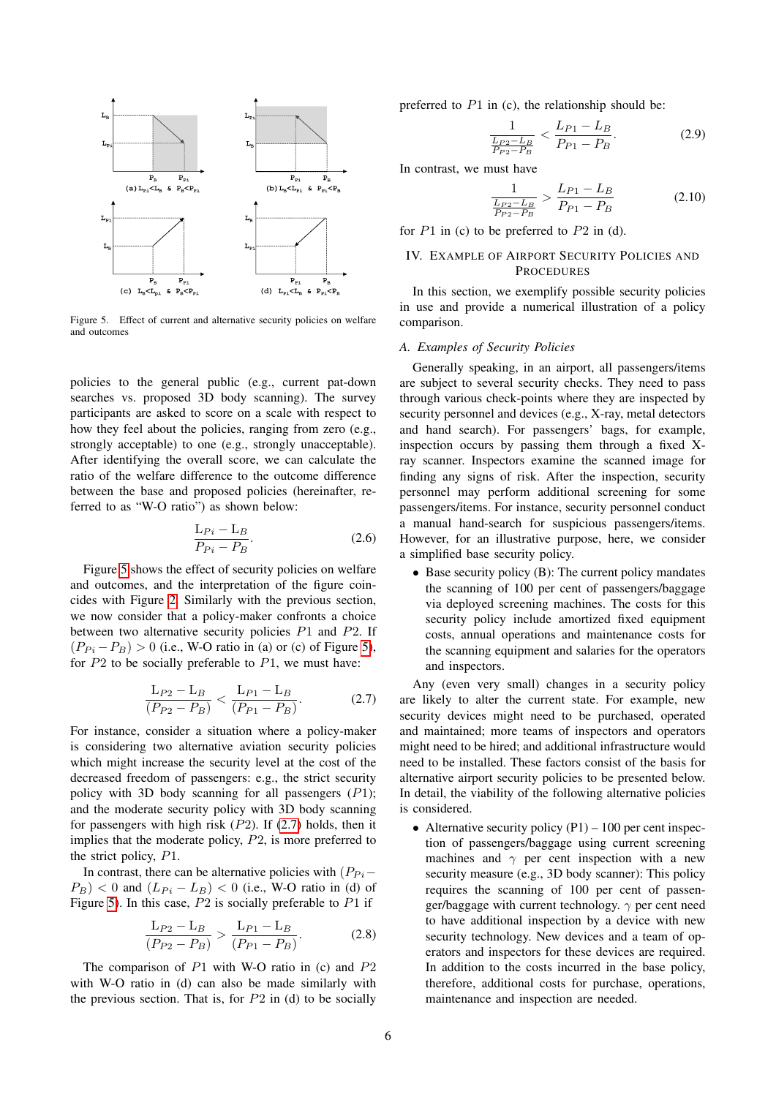

<span id="page-5-0"></span>Figure 5. Effect of current and alternative security policies on welfare and outcomes

policies to the general public (e.g., current pat-down searches vs. proposed 3D body scanning). The survey participants are asked to score on a scale with respect to how they feel about the policies, ranging from zero (e.g., strongly acceptable) to one (e.g., strongly unacceptable). After identifying the overall score, we can calculate the ratio of the welfare difference to the outcome difference between the base and proposed policies (hereinafter, referred to as "W-O ratio") as shown below:

<span id="page-5-1"></span>
$$
\frac{\mathcal{L}_{Pi} - \mathcal{L}_{B}}{P_{Pi} - P_{B}}.\t(2.6)
$$

Figure [5](#page-5-0) shows the effect of security policies on welfare and outcomes, and the interpretation of the figure coincides with Figure [2.](#page-3-0) Similarly with the previous section, we now consider that a policy-maker confronts a choice between two alternative security policies  $P1$  and  $P2$ . If  $(P_{Pi} - P_B) > 0$  (i.e., W-O ratio in (a) or (c) of Figure [5\)](#page-5-0), for  $P2$  to be socially preferable to  $P1$ , we must have:

$$
\frac{\mathcal{L}_{P2} - \mathcal{L}_B}{(P_{P2} - P_B)} < \frac{\mathcal{L}_{P1} - \mathcal{L}_B}{(P_{P1} - P_B)}.\tag{2.7}
$$

For instance, consider a situation where a policy-maker is considering two alternative aviation security policies which might increase the security level at the cost of the decreased freedom of passengers: e.g., the strict security policy with 3D body scanning for all passengers  $(P1)$ ; and the moderate security policy with 3D body scanning for passengers with high risk  $(P2)$ . If  $(2.7)$  holds, then it implies that the moderate policy, P2, is more preferred to the strict policy, P1.

In contrast, there can be alternative policies with  $(P_{Pi} (P_B)$  < 0 and  $(L_{P_i} - L_B)$  < 0 (i.e., W-O ratio in (d) of Figure [5\)](#page-5-0). In this case,  $P2$  is socially preferable to  $P1$  if

$$
\frac{L_{P2} - L_B}{(P_{P2} - P_B)} > \frac{L_{P1} - L_B}{(P_{P1} - P_B)}.
$$
\n(2.8)

The comparison of  $P1$  with W-O ratio in (c) and  $P2$ with W-O ratio in (d) can also be made similarly with the previous section. That is, for  $P2$  in (d) to be socially

preferred to  $P1$  in (c), the relationship should be:

$$
\frac{1}{\frac{L_{P2} - L_B}{P_{P2} - P_B}} < \frac{L_{P1} - L_B}{P_{P1} - P_B}.\tag{2.9}
$$

In contrast, we must have

$$
\frac{1}{\frac{L_{P2} - L_B}{P_{P2} - P_B}} > \frac{L_{P1} - L_B}{P_{P1} - P_B}
$$
(2.10)

for  $P1$  in (c) to be preferred to  $P2$  in (d).

## IV. EXAMPLE OF AIRPORT SECURITY POLICIES AND **PROCEDURES**

In this section, we exemplify possible security policies in use and provide a numerical illustration of a policy comparison.

### *A. Examples of Security Policies*

Generally speaking, in an airport, all passengers/items are subject to several security checks. They need to pass through various check-points where they are inspected by security personnel and devices (e.g., X-ray, metal detectors and hand search). For passengers' bags, for example, inspection occurs by passing them through a fixed Xray scanner. Inspectors examine the scanned image for finding any signs of risk. After the inspection, security personnel may perform additional screening for some passengers/items. For instance, security personnel conduct a manual hand-search for suspicious passengers/items. However, for an illustrative purpose, here, we consider a simplified base security policy.

• Base security policy (B): The current policy mandates the scanning of 100 per cent of passengers/baggage via deployed screening machines. The costs for this security policy include amortized fixed equipment costs, annual operations and maintenance costs for the scanning equipment and salaries for the operators and inspectors.

Any (even very small) changes in a security policy are likely to alter the current state. For example, new security devices might need to be purchased, operated and maintained; more teams of inspectors and operators might need to be hired; and additional infrastructure would need to be installed. These factors consist of the basis for alternative airport security policies to be presented below. In detail, the viability of the following alternative policies is considered.

• Alternative security policy  $(P1) - 100$  per cent inspection of passengers/baggage using current screening machines and  $\gamma$  per cent inspection with a new security measure (e.g., 3D body scanner): This policy requires the scanning of 100 per cent of passenger/baggage with current technology.  $\gamma$  per cent need to have additional inspection by a device with new security technology. New devices and a team of operators and inspectors for these devices are required. In addition to the costs incurred in the base policy, therefore, additional costs for purchase, operations, maintenance and inspection are needed.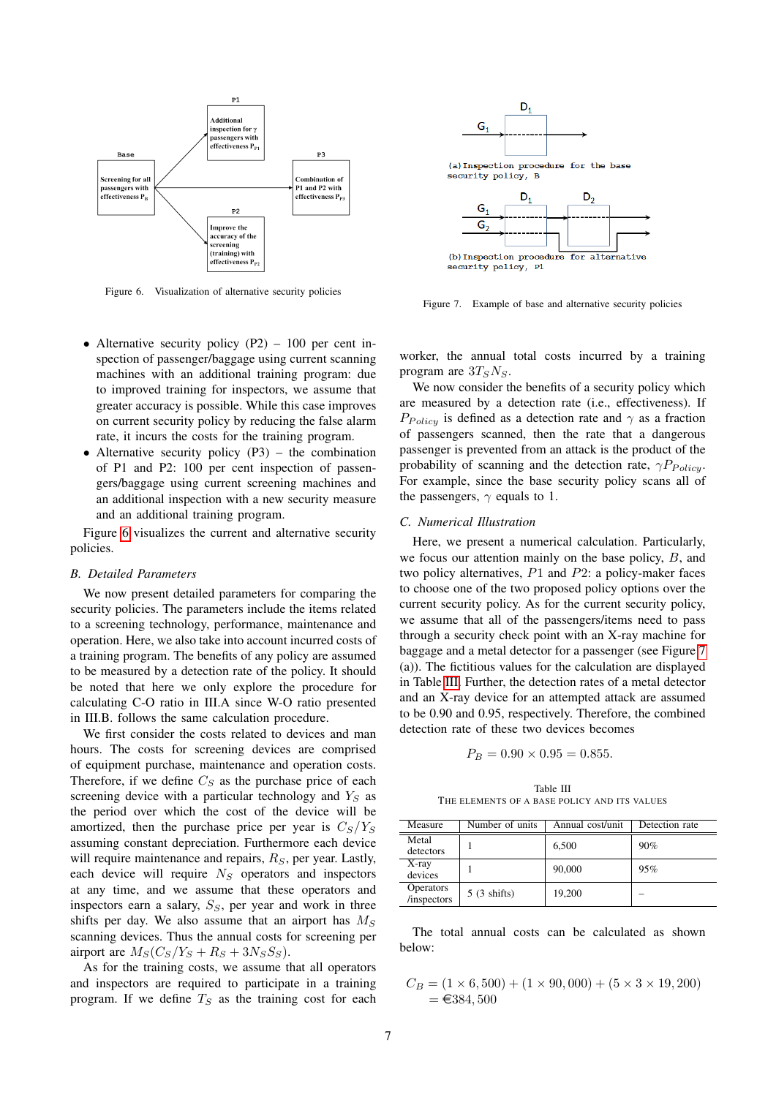

<span id="page-6-0"></span>Figure 6. Visualization of alternative security policies

- Alternative security policy  $(P2) 100$  per cent inspection of passenger/baggage using current scanning machines with an additional training program: due to improved training for inspectors, we assume that greater accuracy is possible. While this case improves on current security policy by reducing the false alarm rate, it incurs the costs for the training program.
- Alternative security policy  $(P3)$  the combination of P1 and P2: 100 per cent inspection of passengers/baggage using current screening machines and an additional inspection with a new security measure and an additional training program.

Figure [6](#page-6-0) visualizes the current and alternative security policies.

#### *B. Detailed Parameters*

We now present detailed parameters for comparing the security policies. The parameters include the items related to a screening technology, performance, maintenance and operation. Here, we also take into account incurred costs of a training program. The benefits of any policy are assumed to be measured by a detection rate of the policy. It should be noted that here we only explore the procedure for calculating C-O ratio in III.A since W-O ratio presented in III.B. follows the same calculation procedure.

We first consider the costs related to devices and man hours. The costs for screening devices are comprised of equipment purchase, maintenance and operation costs. Therefore, if we define  $C_S$  as the purchase price of each screening device with a particular technology and  $Y<sub>S</sub>$  as the period over which the cost of the device will be amortized, then the purchase price per year is  $C_S/Y_S$ assuming constant depreciation. Furthermore each device will require maintenance and repairs,  $R<sub>S</sub>$ , per year. Lastly, each device will require  $N<sub>S</sub>$  operators and inspectors at any time, and we assume that these operators and inspectors earn a salary,  $S_S$ , per year and work in three shifts per day. We also assume that an airport has  $M<sub>S</sub>$ scanning devices. Thus the annual costs for screening per airport are  $M_S(C_S/Y_S + R_S + 3N_S S_S)$ .

As for the training costs, we assume that all operators and inspectors are required to participate in a training program. If we define  $T<sub>S</sub>$  as the training cost for each



<span id="page-6-1"></span>Figure 7. Example of base and alternative security policies

worker, the annual total costs incurred by a training program are  $3T_SN_S$ .

We now consider the benefits of a security policy which are measured by a detection rate (i.e., effectiveness). If  $P_{Policy}$  is defined as a detection rate and  $\gamma$  as a fraction of passengers scanned, then the rate that a dangerous passenger is prevented from an attack is the product of the probability of scanning and the detection rate,  $\gamma P_{Policy}$ . For example, since the base security policy scans all of the passengers,  $\gamma$  equals to 1.

### *C. Numerical Illustration*

Here, we present a numerical calculation. Particularly, we focus our attention mainly on the base policy, B, and two policy alternatives, P1 and P2: a policy-maker faces to choose one of the two proposed policy options over the current security policy. As for the current security policy, we assume that all of the passengers/items need to pass through a security check point with an X-ray machine for baggage and a metal detector for a passenger (see Figure [7](#page-6-1) (a)). The fictitious values for the calculation are displayed in Table [III.](#page-6-2) Further, the detection rates of a metal detector and an X-ray device for an attempted attack are assumed to be 0.90 and 0.95, respectively. Therefore, the combined detection rate of these two devices becomes

$$
P_B = 0.90 \times 0.95 = 0.855.
$$

| Table III                                    |  |  |  |  |  |  |  |
|----------------------------------------------|--|--|--|--|--|--|--|
| THE ELEMENTS OF A BASE POLICY AND ITS VALUES |  |  |  |  |  |  |  |

<span id="page-6-2"></span>

| Measure                         | Number of units | Annual cost/unit | Detection rate |
|---------------------------------|-----------------|------------------|----------------|
| Metal<br>detectors              |                 | 6,500            | 90%            |
| X-ray<br>devices                |                 | 90,000           | 95%            |
| <b>Operators</b><br>/inspectors | $5(3)$ shifts)  | 19.200           |                |

The total annual costs can be calculated as shown below:

$$
C_B = (1 \times 6, 500) + (1 \times 90, 000) + (5 \times 3 \times 19, 200)
$$
  
= €384,500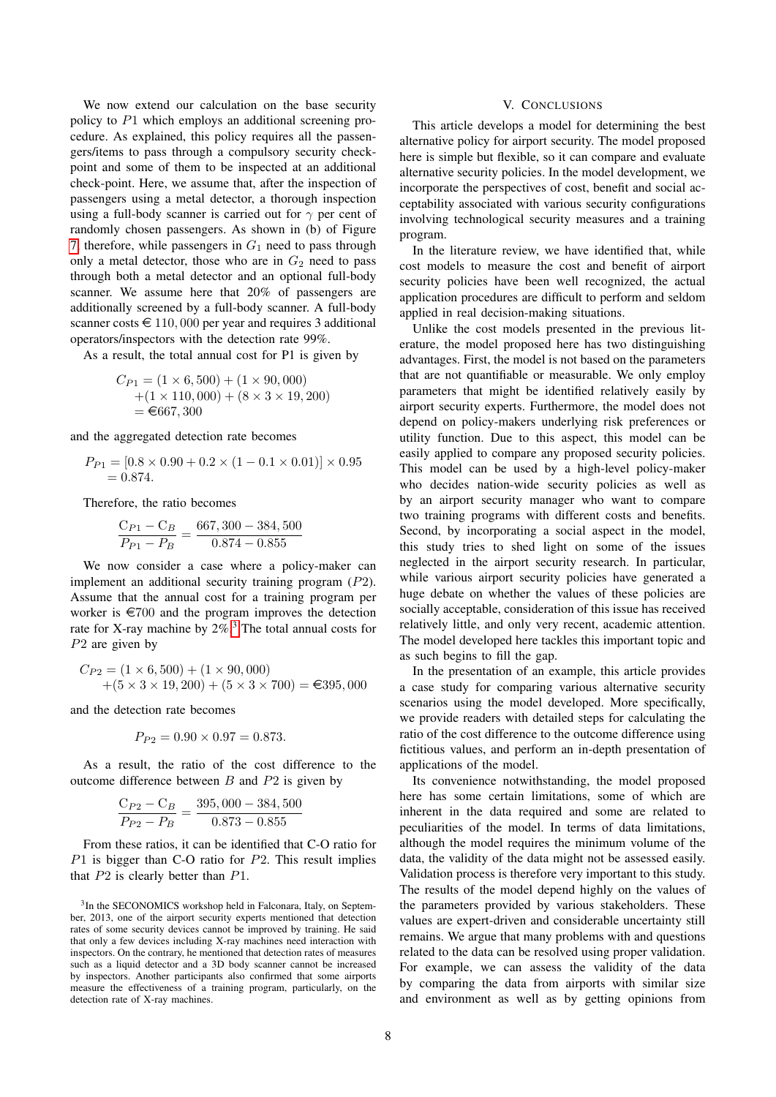We now extend our calculation on the base security policy to P1 which employs an additional screening procedure. As explained, this policy requires all the passengers/items to pass through a compulsory security checkpoint and some of them to be inspected at an additional check-point. Here, we assume that, after the inspection of passengers using a metal detector, a thorough inspection using a full-body scanner is carried out for  $\gamma$  per cent of randomly chosen passengers. As shown in (b) of Figure [7,](#page-6-1) therefore, while passengers in  $G_1$  need to pass through only a metal detector, those who are in  $G_2$  need to pass through both a metal detector and an optional full-body scanner. We assume here that 20% of passengers are additionally screened by a full-body scanner. A full-body scanner costs  $\in$  110, 000 per year and requires 3 additional operators/inspectors with the detection rate 99%.

As a result, the total annual cost for P1 is given by

$$
C_{P1} = (1 \times 6, 500) + (1 \times 90, 000)
$$
  
+ (1 \times 110, 000) + (8 \times 3 \times 19, 200)  
= €667, 300

and the aggregated detection rate becomes

$$
P_{P1} = [0.8 \times 0.90 + 0.2 \times (1 - 0.1 \times 0.01)] \times 0.95
$$
  
= 0.874.

Therefore, the ratio becomes

$$
\frac{C_{P1} - C_B}{P_{P1} - P_B} = \frac{667,300 - 384,500}{0.874 - 0.855}
$$

We now consider a case where a policy-maker can implement an additional security training program (P2). Assume that the annual cost for a training program per worker is  $\epsilon$ 700 and the program improves the detection rate for X-ray machine by 2%.[3](#page-7-0) The total annual costs for P2 are given by

$$
C_{P2} = (1 \times 6, 500) + (1 \times 90, 000)
$$
  
+ (5 × 3 × 19, 200) + (5 × 3 × 700) = €395,000

and the detection rate becomes

$$
P_{P2} = 0.90 \times 0.97 = 0.873.
$$

As a result, the ratio of the cost difference to the outcome difference between  $B$  and  $P2$  is given by

$$
\frac{C_{P2} - C_B}{P_{P2} - P_B} = \frac{395,000 - 384,500}{0.873 - 0.855}
$$

From these ratios, it can be identified that C-O ratio for  $P1$  is bigger than C-O ratio for  $P2$ . This result implies that P2 is clearly better than P1.

<span id="page-7-0"></span><sup>3</sup>In the SECONOMICS workshop held in Falconara, Italy, on September, 2013, one of the airport security experts mentioned that detection rates of some security devices cannot be improved by training. He said that only a few devices including X-ray machines need interaction with inspectors. On the contrary, he mentioned that detection rates of measures such as a liquid detector and a 3D body scanner cannot be increased by inspectors. Another participants also confirmed that some airports measure the effectiveness of a training program, particularly, on the detection rate of X-ray machines.

## V. CONCLUSIONS

This article develops a model for determining the best alternative policy for airport security. The model proposed here is simple but flexible, so it can compare and evaluate alternative security policies. In the model development, we incorporate the perspectives of cost, benefit and social acceptability associated with various security configurations involving technological security measures and a training program.

In the literature review, we have identified that, while cost models to measure the cost and benefit of airport security policies have been well recognized, the actual application procedures are difficult to perform and seldom applied in real decision-making situations.

Unlike the cost models presented in the previous literature, the model proposed here has two distinguishing advantages. First, the model is not based on the parameters that are not quantifiable or measurable. We only employ parameters that might be identified relatively easily by airport security experts. Furthermore, the model does not depend on policy-makers underlying risk preferences or utility function. Due to this aspect, this model can be easily applied to compare any proposed security policies. This model can be used by a high-level policy-maker who decides nation-wide security policies as well as by an airport security manager who want to compare two training programs with different costs and benefits. Second, by incorporating a social aspect in the model, this study tries to shed light on some of the issues neglected in the airport security research. In particular, while various airport security policies have generated a huge debate on whether the values of these policies are socially acceptable, consideration of this issue has received relatively little, and only very recent, academic attention. The model developed here tackles this important topic and as such begins to fill the gap.

In the presentation of an example, this article provides a case study for comparing various alternative security scenarios using the model developed. More specifically, we provide readers with detailed steps for calculating the ratio of the cost difference to the outcome difference using fictitious values, and perform an in-depth presentation of applications of the model.

Its convenience notwithstanding, the model proposed here has some certain limitations, some of which are inherent in the data required and some are related to peculiarities of the model. In terms of data limitations, although the model requires the minimum volume of the data, the validity of the data might not be assessed easily. Validation process is therefore very important to this study. The results of the model depend highly on the values of the parameters provided by various stakeholders. These values are expert-driven and considerable uncertainty still remains. We argue that many problems with and questions related to the data can be resolved using proper validation. For example, we can assess the validity of the data by comparing the data from airports with similar size and environment as well as by getting opinions from